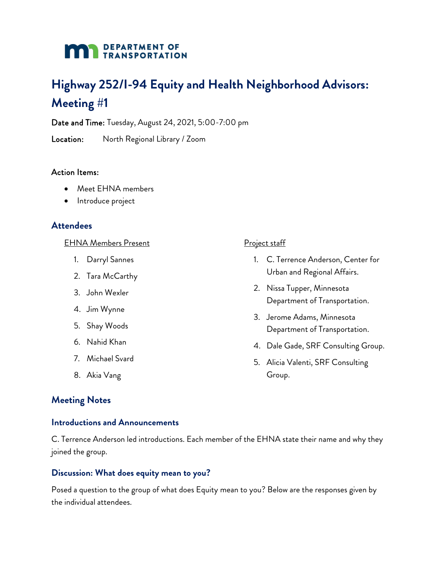# **DEPARTMENT OF TRANSPORTATION**

# **Highway 252/I-94 Equity and Health Neighborhood Advisors: Meeting #1**

Date and Time: Tuesday, August 24, 2021, 5:00-7:00 pm

Location: North Regional Library / Zoom

### Action Items:

- Meet EHNA members
- Introduce project

# **Attendees**

#### EHNA Members Present

- 1. Darryl Sannes
- 2. Tara McCarthy
- 3. John Wexler
- 4. Jim Wynne
- 5. Shay Woods
- 6. Nahid Khan
- 7. Michael Svard
- 8. Akia Vang

# **Meeting Notes**

#### **Introductions and Announcements**

C. Terrence Anderson led introductions. Each member of the EHNA state their name and why they joined the group.

# **Discussion: What does equity mean to you?**

Posed a question to the group of what does Equity mean to you? Below are the responses given by the individual attendees.

#### Project staff

- 1. C. Terrence Anderson, Center for Urban and Regional Affairs.
- 2. Nissa Tupper, Minnesota Department of Transportation.
- 3. Jerome Adams, Minnesota Department of Transportation.
- 4. Dale Gade, SRF Consulting Group.
- 5. Alicia Valenti, SRF Consulting Group.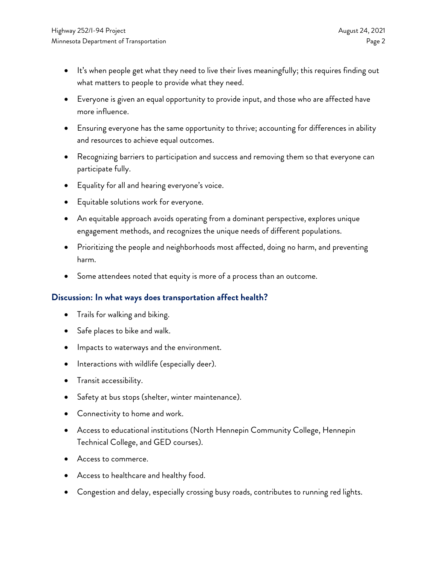- It's when people get what they need to live their lives meaningfully; this requires finding out what matters to people to provide what they need.
- Everyone is given an equal opportunity to provide input, and those who are affected have more influence.
- Ensuring everyone has the same opportunity to thrive; accounting for differences in ability and resources to achieve equal outcomes.
- Recognizing barriers to participation and success and removing them so that everyone can participate fully.
- Equality for all and hearing everyone's voice.
- Equitable solutions work for everyone.
- An equitable approach avoids operating from a dominant perspective, explores unique engagement methods, and recognizes the unique needs of different populations.
- Prioritizing the people and neighborhoods most affected, doing no harm, and preventing harm.
- Some attendees noted that equity is more of a process than an outcome.

# **Discussion: In what ways does transportation affect health?**

- Trails for walking and biking.
- Safe places to bike and walk.
- Impacts to waterways and the environment.
- Interactions with wildlife (especially deer).
- Transit accessibility.
- Safety at bus stops (shelter, winter maintenance).
- Connectivity to home and work.
- Access to educational institutions (North Hennepin Community College, Hennepin Technical College, and GED courses).
- Access to commerce.
- Access to healthcare and healthy food.
- Congestion and delay, especially crossing busy roads, contributes to running red lights.